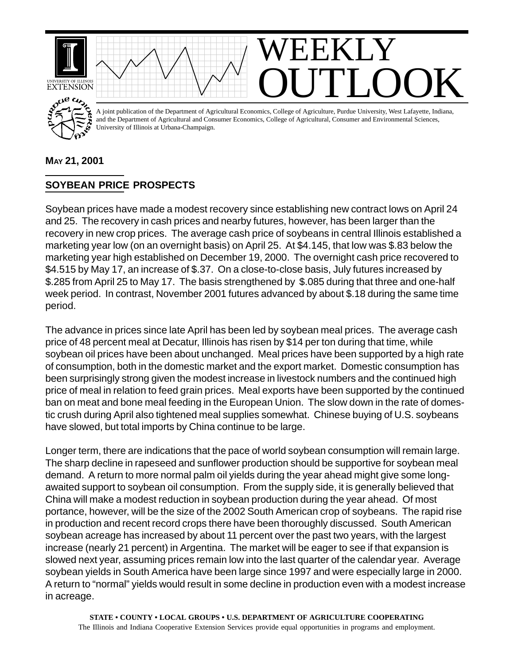

## **MAY 21, 2001**

## **SOYBEAN PRICE PROSPECTS**

Soybean prices have made a modest recovery since establishing new contract lows on April 24 and 25. The recovery in cash prices and nearby futures, however, has been larger than the recovery in new crop prices. The average cash price of soybeans in central Illinois established a marketing year low (on an overnight basis) on April 25. At \$4.145, that low was \$.83 below the marketing year high established on December 19, 2000. The overnight cash price recovered to \$4.515 by May 17, an increase of \$.37. On a close-to-close basis, July futures increased by \$.285 from April 25 to May 17. The basis strengthened by \$.085 during that three and one-half week period. In contrast, November 2001 futures advanced by about \$.18 during the same time period.

The advance in prices since late April has been led by soybean meal prices. The average cash price of 48 percent meal at Decatur, Illinois has risen by \$14 per ton during that time, while soybean oil prices have been about unchanged. Meal prices have been supported by a high rate of consumption, both in the domestic market and the export market. Domestic consumption has been surprisingly strong given the modest increase in livestock numbers and the continued high price of meal in relation to feed grain prices. Meal exports have been supported by the continued ban on meat and bone meal feeding in the European Union. The slow down in the rate of domestic crush during April also tightened meal supplies somewhat. Chinese buying of U.S. soybeans have slowed, but total imports by China continue to be large.

Longer term, there are indications that the pace of world soybean consumption will remain large. The sharp decline in rapeseed and sunflower production should be supportive for soybean meal demand. A return to more normal palm oil yields during the year ahead might give some longawaited support to soybean oil consumption. From the supply side, it is generally believed that China will make a modest reduction in soybean production during the year ahead. Of most portance, however, will be the size of the 2002 South American crop of soybeans. The rapid rise in production and recent record crops there have been thoroughly discussed. South American soybean acreage has increased by about 11 percent over the past two years, with the largest increase (nearly 21 percent) in Argentina. The market will be eager to see if that expansion is slowed next year, assuming prices remain low into the last quarter of the calendar year. Average soybean yields in South America have been large since 1997 and were especially large in 2000. A return to "normal" yields would result in some decline in production even with a modest increase in acreage.